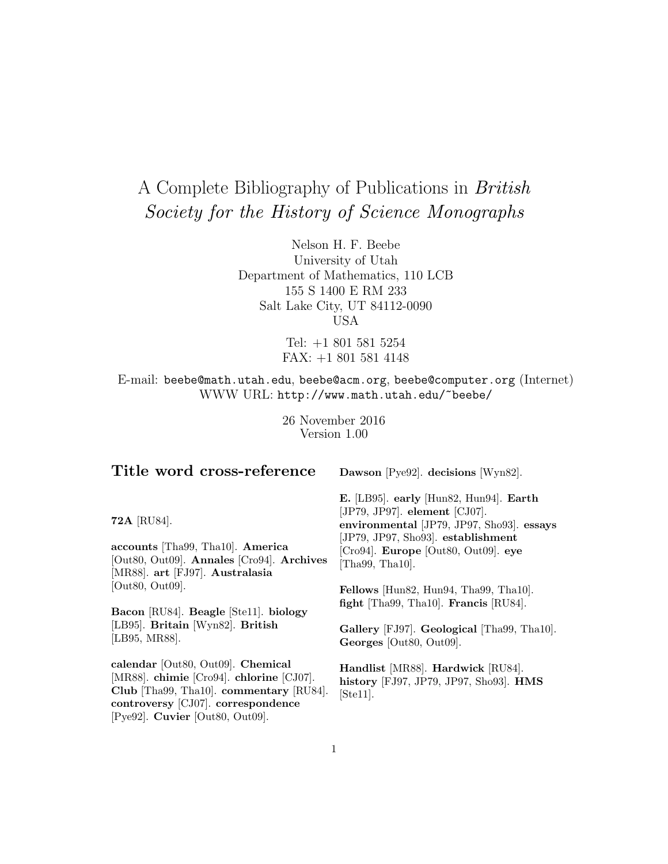# A Complete Bibliography of Publications in British Society for the History of Science Monographs

Nelson H. F. Beebe University of Utah Department of Mathematics, 110 LCB 155 S 1400 E RM 233 Salt Lake City, UT 84112-0090 USA

> Tel: +1 801 581 5254 FAX: +1 801 581 4148

E-mail: beebe@math.utah.edu, beebe@acm.org, beebe@computer.org (Internet) WWW URL: http://www.math.utah.edu/~beebe/

> 26 November 2016 Version 1.00

# **Title word cross-reference**

**Dawson** [Pye92]. **decisions** [Wyn82].

**72A** [RU84].

**accounts** [Tha99, Tha10]. **America** [Out80, Out09]. **Annales** [Cro94]. **Archives** [MR88]. **art** [FJ97]. **Australasia** [Out80, Out09].

**Bacon** [RU84]. **Beagle** [Ste11]. **biology** [LB95]. **Britain** [Wyn82]. **British** [LB95, MR88].

**calendar** [Out80, Out09]. **Chemical** [MR88]. **chimie** [Cro94]. **chlorine** [CJ07]. **Club** [Tha99, Tha10]. **commentary** [RU84]. **controversy** [CJ07]. **correspondence** [Pye92]. **Cuvier** [Out80, Out09].

**E.** [LB95]. **early** [Hun82, Hun94]. **Earth** [JP79, JP97]. **element** [CJ07]. **environmental** [JP79, JP97, Sho93]. **essays** [JP79, JP97, Sho93]. **establishment** [Cro94]. **Europe** [Out80, Out09]. **eye** [Tha99, Tha10].

**Fellows** [Hun82, Hun94, Tha99, Tha10]. **fight** [Tha99, Tha10]. **Francis** [RU84].

**Gallery** [FJ97]. **Geological** [Tha99, Tha10]. **Georges** [Out80, Out09].

**Handlist** [MR88]. **Hardwick** [RU84]. **history** [FJ97, JP79, JP97, Sho93]. **HMS** [Ste11].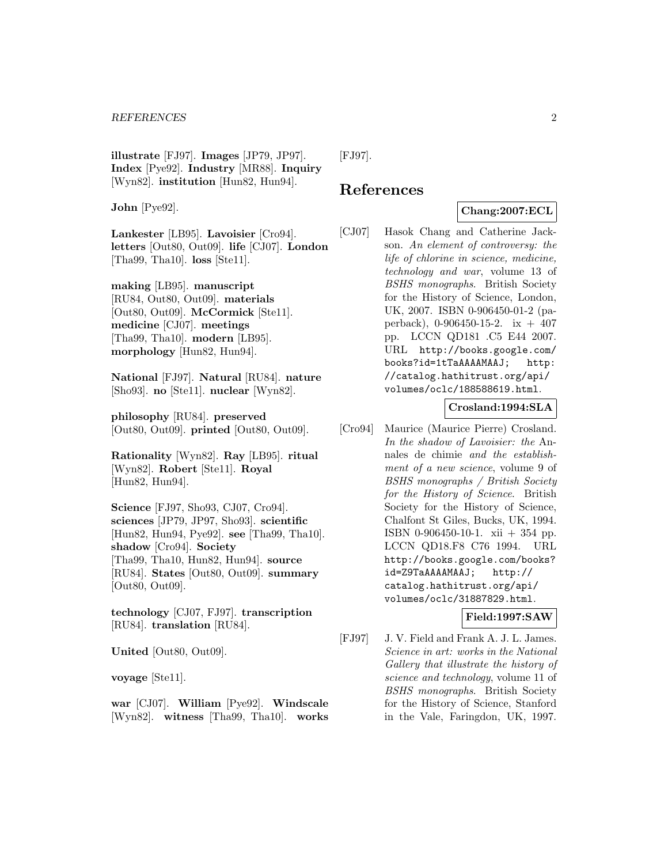**illustrate** [FJ97]. **Images** [JP79, JP97]. **Index** [Pye92]. **Industry** [MR88]. **Inquiry** [Wyn82]. **institution** [Hun82, Hun94].

**John** [Pye92].

**Lankester** [LB95]. **Lavoisier** [Cro94]. **letters** [Out80, Out09]. **life** [CJ07]. **London** [Tha99, Tha10]. **loss** [Ste11].

**making** [LB95]. **manuscript** [RU84, Out80, Out09]. **materials** [Out80, Out09]. **McCormick** [Ste11]. **medicine** [CJ07]. **meetings** [Tha99, Tha10]. **modern** [LB95]. **morphology** [Hun82, Hun94].

**National** [FJ97]. **Natural** [RU84]. **nature** [Sho93]. **no** [Ste11]. **nuclear** [Wyn82].

**philosophy** [RU84]. **preserved** [Out80, Out09]. **printed** [Out80, Out09].

**Rationality** [Wyn82]. **Ray** [LB95]. **ritual** [Wyn82]. **Robert** [Ste11]. **Royal** [Hun82, Hun94].

**Science** [FJ97, Sho93, CJ07, Cro94]. **sciences** [JP79, JP97, Sho93]. **scientific** [Hun82, Hun94, Pye92]. **see** [Tha99, Tha10]. **shadow** [Cro94]. **Society** [Tha99, Tha10, Hun82, Hun94]. **source** [RU84]. **States** [Out80, Out09]. **summary** [Out80, Out09].

**technology** [CJ07, FJ97]. **transcription** [RU84]. **translation** [RU84].

**United** [Out80, Out09].

**voyage** [Ste11].

**war** [CJ07]. **William** [Pye92]. **Windscale** [Wyn82]. **witness** [Tha99, Tha10]. **works** [FJ97].

# **References**

# **Chang:2007:ECL**

[CJ07] Hasok Chang and Catherine Jackson. An element of controversy: the life of chlorine in science, medicine, technology and war, volume 13 of BSHS monographs. British Society for the History of Science, London, UK, 2007. ISBN 0-906450-01-2 (paperback),  $0-906450-15-2$ . ix  $+407$ pp. LCCN QD181 .C5 E44 2007. URL http://books.google.com/ books?id=1tTaAAAAMAAJ; http: //catalog.hathitrust.org/api/ volumes/oclc/188588619.html.

#### **Crosland:1994:SLA**

[Cro94] Maurice (Maurice Pierre) Crosland. In the shadow of Lavoisier: the Annales de chimie and the establishment of a new science, volume 9 of BSHS monographs / British Society for the History of Science. British Society for the History of Science, Chalfont St Giles, Bucks, UK, 1994. ISBN 0-906450-10-1. xii + 354 pp. LCCN QD18.F8 C76 1994. URL http://books.google.com/books? id=Z9TaAAAAMAAJ; http:// catalog.hathitrust.org/api/ volumes/oclc/31887829.html.

#### **Field:1997:SAW**

[FJ97] J. V. Field and Frank A. J. L. James. Science in art: works in the National Gallery that illustrate the history of science and technology, volume 11 of BSHS monographs. British Society for the History of Science, Stanford in the Vale, Faringdon, UK, 1997.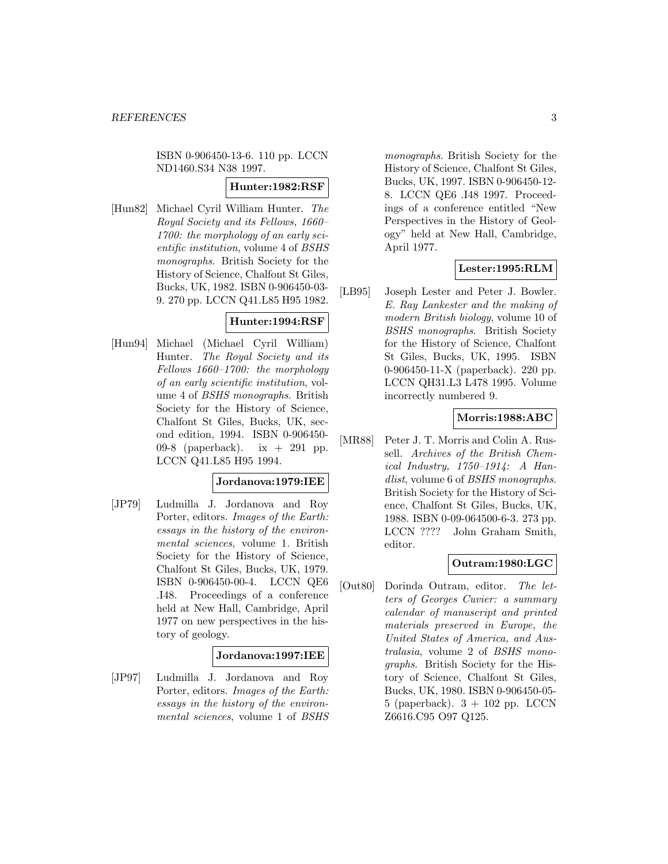ISBN 0-906450-13-6. 110 pp. LCCN ND1460.S34 N38 1997.

#### **Hunter:1982:RSF**

[Hun82] Michael Cyril William Hunter. The Royal Society and its Fellows, 1660– 1700: the morphology of an early scientific institution, volume 4 of BSHS monographs. British Society for the History of Science, Chalfont St Giles, Bucks, UK, 1982. ISBN 0-906450-03- 9. 270 pp. LCCN Q41.L85 H95 1982.

## **Hunter:1994:RSF**

[Hun94] Michael (Michael Cyril William) Hunter. The Royal Society and its Fellows 1660–1700: the morphology of an early scientific institution, volume 4 of BSHS monographs. British Society for the History of Science, Chalfont St Giles, Bucks, UK, second edition, 1994. ISBN 0-906450- 09-8 (paperback). ix + 291 pp. LCCN Q41.L85 H95 1994.

#### **Jordanova:1979:IEE**

[JP79] Ludmilla J. Jordanova and Roy Porter, editors. Images of the Earth: essays in the history of the environmental sciences, volume 1. British Society for the History of Science, Chalfont St Giles, Bucks, UK, 1979. ISBN 0-906450-00-4. LCCN QE6 .I48. Proceedings of a conference held at New Hall, Cambridge, April 1977 on new perspectives in the history of geology.

#### **Jordanova:1997:IEE**

[JP97] Ludmilla J. Jordanova and Roy Porter, editors. Images of the Earth: essays in the history of the environmental sciences, volume 1 of BSHS monographs. British Society for the History of Science, Chalfont St Giles, Bucks, UK, 1997. ISBN 0-906450-12- 8. LCCN QE6 .I48 1997. Proceedings of a conference entitled "New Perspectives in the History of Geology" held at New Hall, Cambridge, April 1977.

## **Lester:1995:RLM**

[LB95] Joseph Lester and Peter J. Bowler. E. Ray Lankester and the making of modern British biology, volume 10 of BSHS monographs. British Society for the History of Science, Chalfont St Giles, Bucks, UK, 1995. ISBN 0-906450-11-X (paperback). 220 pp. LCCN QH31.L3 L478 1995. Volume incorrectly numbered 9.

## **Morris:1988:ABC**

[MR88] Peter J. T. Morris and Colin A. Russell. Archives of the British Chemical Industry, 1750–1914: A Handlist, volume 6 of BSHS monographs. British Society for the History of Science, Chalfont St Giles, Bucks, UK, 1988. ISBN 0-09-064500-6-3. 273 pp. LCCN ???? John Graham Smith, editor.

#### **Outram:1980:LGC**

[Out80] Dorinda Outram, editor. The letters of Georges Cuvier: a summary calendar of manuscript and printed materials preserved in Europe, the United States of America, and Australasia, volume 2 of BSHS monographs. British Society for the History of Science, Chalfont St Giles, Bucks, UK, 1980. ISBN 0-906450-05- 5 (paperback).  $3 + 102$  pp. LCCN Z6616.C95 O97 Q125.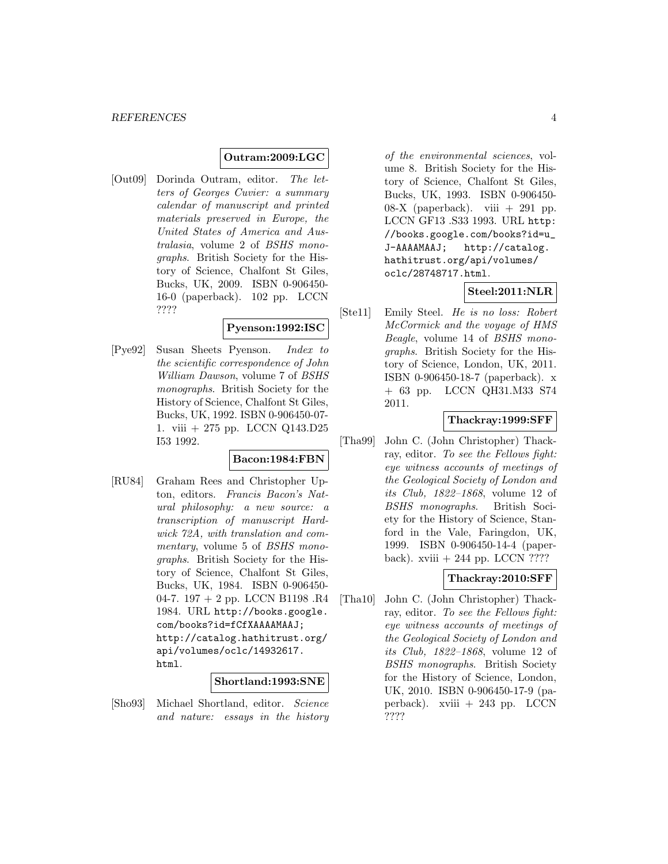#### **Outram:2009:LGC**

[Out09] Dorinda Outram, editor. The letters of Georges Cuvier: a summary calendar of manuscript and printed materials preserved in Europe, the United States of America and Australasia, volume 2 of BSHS monographs. British Society for the History of Science, Chalfont St Giles, Bucks, UK, 2009. ISBN 0-906450- 16-0 (paperback). 102 pp. LCCN ????

#### **Pyenson:1992:ISC**

[Pye92] Susan Sheets Pyenson. Index to the scientific correspondence of John William Dawson, volume 7 of BSHS monographs. British Society for the History of Science, Chalfont St Giles, Bucks, UK, 1992. ISBN 0-906450-07- 1. viii + 275 pp. LCCN Q143.D25 I53 1992.

#### **Bacon:1984:FBN**

[RU84] Graham Rees and Christopher Upton, editors. Francis Bacon's Natural philosophy: a new source: a transcription of manuscript Hardwick 72A, with translation and commentary, volume 5 of BSHS monographs. British Society for the History of Science, Chalfont St Giles, Bucks, UK, 1984. ISBN 0-906450- 04-7. 197 + 2 pp. LCCN B1198 .R4 1984. URL http://books.google. com/books?id=fCfXAAAAMAAJ; http://catalog.hathitrust.org/ api/volumes/oclc/14932617. html.

#### **Shortland:1993:SNE**

[Sho93] Michael Shortland, editor. Science and nature: essays in the history

of the environmental sciences, volume 8. British Society for the History of Science, Chalfont St Giles, Bucks, UK, 1993. ISBN 0-906450- 08-X (paperback). viii  $+291$  pp. LCCN GF13 .S33 1993. URL http: //books.google.com/books?id=u\_ J-AAAAMAAJ; http://catalog. hathitrust.org/api/volumes/ oclc/28748717.html.

## **Steel:2011:NLR**

[Ste11] Emily Steel. He is no loss: Robert McCormick and the voyage of HMS Beagle, volume 14 of BSHS monographs. British Society for the History of Science, London, UK, 2011. ISBN 0-906450-18-7 (paperback). x + 63 pp. LCCN QH31.M33 S74 2011.

#### **Thackray:1999:SFF**

[Tha99] John C. (John Christopher) Thackray, editor. To see the Fellows fight: eye witness accounts of meetings of the Geological Society of London and its Club, 1822–1868, volume 12 of BSHS monographs. British Society for the History of Science, Stanford in the Vale, Faringdon, UK, 1999. ISBN 0-906450-14-4 (paperback). xviii  $+244$  pp. LCCN ????

#### **Thackray:2010:SFF**

[Tha10] John C. (John Christopher) Thackray, editor. To see the Fellows fight: eye witness accounts of meetings of the Geological Society of London and its Club, 1822–1868, volume 12 of BSHS monographs. British Society for the History of Science, London, UK, 2010. ISBN 0-906450-17-9 (paperback). xviii + 243 pp. LCCN ????